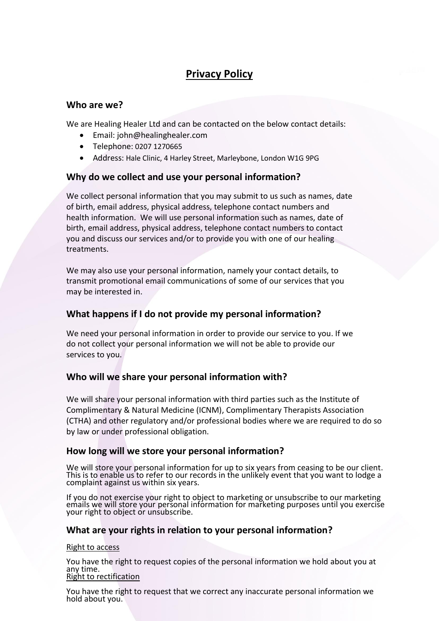# **Privacy Policy**

# **Who are we?**

We are Healing Healer Ltd and can be contacted on the below contact details:

- Email: john@healinghealer.com
- Telephone: 0207 1270665
- Address: Hale Clinic, 4 Harley Street, Marleybone, London W1G 9PG

## **Why do we collect and use your personal information?**

We collect personal information that you may submit to us such as names, date of birth, email address, physical address, telephone contact numbers and health information. We will use personal information such as names, date of birth, email address, physical address, telephone contact numbers to contact you and discuss our services and/or to provide you with one of our healing treatments.

We may also use your personal information, namely your contact details, to transmit promotional email communications of some of our services that you may be interested in.

# **What happens if I do not provide my personal information?**

We need your personal information in order to provide our service to you. If we do not collect your personal information we will not be able to provide our services to you.

# **Who will we share your personal information with?**

We will share your personal information with third parties such as the Institute of Complimentary & Natural Medicine (ICNM), Complimentary Therapists Association (CTHA) and other regulatory and/or professional bodies where we are required to do so by law or under professional obligation.

## **How long will we store your personal information?**

We will store your personal information for up to six years from ceasing to be our client. This is to enable us to refer to our records in the unlikely event that you want to lodge a complaint against us within six years.

If you do not exercise your right to object to marketing or unsubscribe to our marketing emails we will store your personal information for marketing purposes until you exercise your right to object or unsubscribe.

## **What are your rights in relation to your personal information?**

## Right to access

You have the right to request copies of the personal information we hold about you at any time. Right to rectification

You have the right to request that we correct any inaccurate personal information we hold about you.